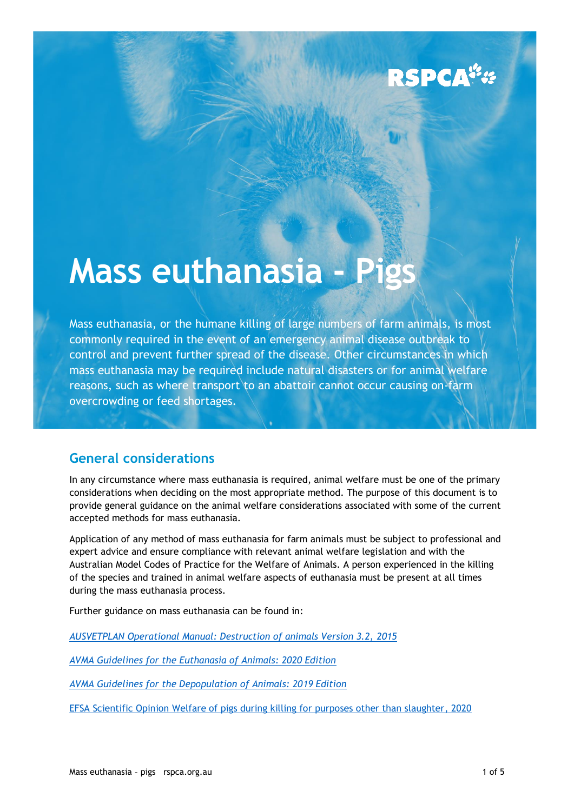# RSPCA<sup>\*</sup>\*

# **Mass euthanasia - Pigs**

Mass euthanasia, or the humane killing of large numbers of farm animals, is most commonly required in the event of an emergency animal disease outbreak to control and prevent further spread of the disease. Other circumstances in which mass euthanasia may be required include natural disasters or for animal welfare reasons, such as where transport to an abattoir cannot occur causing on-farm overcrowding or feed shortages.

# **General considerations**

In any circumstance where mass euthanasia is required, animal welfare must be one of the primary considerations when deciding on the most appropriate method. The purpose of this document is to provide general guidance on the animal welfare considerations associated with some of the current accepted methods for mass euthanasia.

Application of any method of mass euthanasia for farm animals must be subject to professional and expert advice and ensure compliance with relevant animal welfare legislation and with the Australian Model Codes of Practice for the Welfare of Animals. A person experienced in the killing of the species and trained in animal welfare aspects of euthanasia must be present at all times during the mass euthanasia process.

Further guidance on mass euthanasia can be found in:

*[AUSVETPLAN Operational Manual: Destruction of animals Version 3.2,](https://www.agric.wa.gov.au/sites/gateway/files/AUSVETPLAN%20Destruction%20of%20Animals_0.pdf) 2015*

*[AVMA Guidelines for the Euthanasia of Animals: 2020 Edition](https://www.avma.org/sites/default/files/2020-02/Guidelines-on-Euthanasia-2020.pdf)*

*[AVMA Guidelines for the Depopulation of Animals: 2019 Edition](https://www.avma.org/sites/default/files/resources/AVMA-Guidelines-for-the-Depopulation-of-Animals.pdf)*

[EFSA Scientific Opinion Welfare of pigs during killing for purposes other than slaughter, 2020](https://efsa.onlinelibrary.wiley.com/doi/10.2903/j.efsa.2020.6195)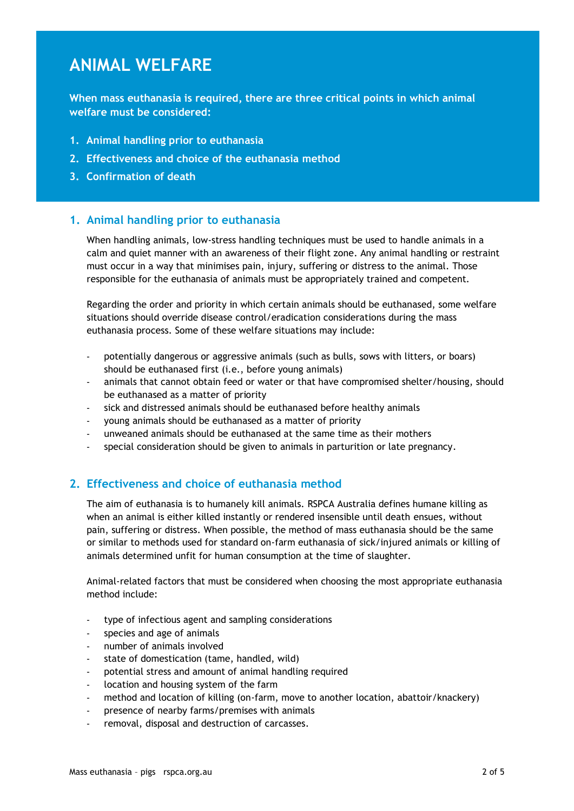# **ANIMAL WELFARE**

**When mass euthanasia is required, there are three critical points in which animal welfare must be considered:** 

- **1. Animal handling prior to euthanasia**
- **2. Effectiveness and choice of the euthanasia method**
- **3. Confirmation of death**

# **1. Animal handling prior to euthanasia**

When handling animals, low-stress handling techniques must be used to handle animals in a calm and quiet manner with an awareness of their flight zone. Any animal handling or restraint must occur in a way that minimises pain, injury, suffering or distress to the animal. Those responsible for the euthanasia of animals must be appropriately trained and competent.

Regarding the order and priority in which certain animals should be euthanased, some welfare situations should override disease control/eradication considerations during the mass euthanasia process. Some of these welfare situations may include:

- potentially dangerous or aggressive animals (such as bulls, sows with litters, or boars) should be euthanased first (i.e., before young animals)
- animals that cannot obtain feed or water or that have compromised shelter/housing, should be euthanased as a matter of priority
- sick and distressed animals should be euthanased before healthy animals
- young animals should be euthanased as a matter of priority
- unweaned animals should be euthanased at the same time as their mothers
- special consideration should be given to animals in parturition or late pregnancy.

# **2. Effectiveness and choice of euthanasia method**

The aim of euthanasia is to humanely kill animals. RSPCA Australia defines humane killing as when an animal is either killed instantly or rendered insensible until death ensues, without pain, suffering or distress. When possible, the method of mass euthanasia should be the same or similar to methods used for standard on-farm euthanasia of sick/injured animals or killing of animals determined unfit for human consumption at the time of slaughter.

Animal-related factors that must be considered when choosing the most appropriate euthanasia method include:

- type of infectious agent and sampling considerations
- species and age of animals
- number of animals involved
- state of domestication (tame, handled, wild)
- potential stress and amount of animal handling required
- location and housing system of the farm
- method and location of killing (on-farm, move to another location, abattoir/knackery)
- presence of nearby farms/premises with animals
- removal, disposal and destruction of carcasses.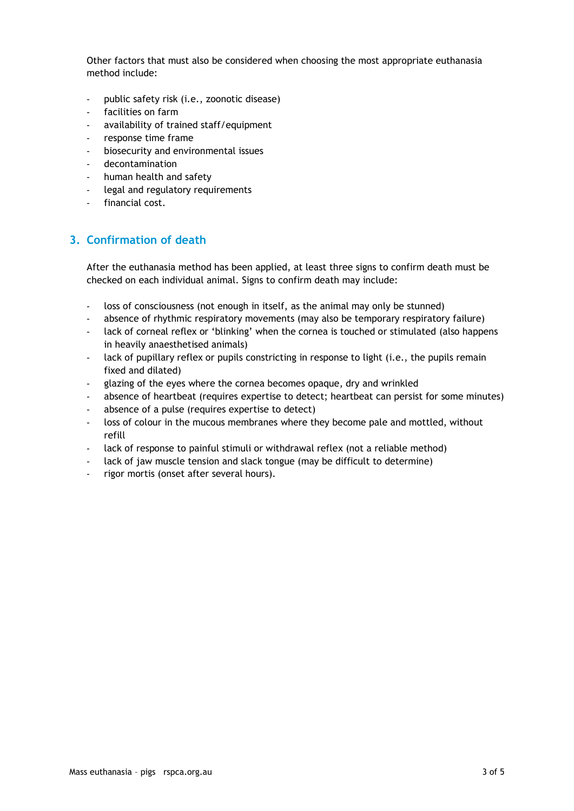Other factors that must also be considered when choosing the most appropriate euthanasia method include:

- public safety risk (i.e., zoonotic disease)
- facilities on farm
- availability of trained staff/equipment
- response time frame
- biosecurity and environmental issues
- decontamination
- human health and safety
- legal and regulatory requirements
- financial cost.

# **3. Confirmation of death**

After the euthanasia method has been applied, at least three signs to confirm death must be checked on each individual animal. Signs to confirm death may include:

- loss of consciousness (not enough in itself, as the animal may only be stunned)
- absence of rhythmic respiratory movements (may also be temporary respiratory failure)
- lack of corneal reflex or 'blinking' when the cornea is touched or stimulated (also happens in heavily anaesthetised animals)
- lack of pupillary reflex or pupils constricting in response to light (i.e., the pupils remain fixed and dilated)
- glazing of the eyes where the cornea becomes opaque, dry and wrinkled
- absence of heartbeat (requires expertise to detect; heartbeat can persist for some minutes)
- absence of a pulse (requires expertise to detect)
- loss of colour in the mucous membranes where they become pale and mottled, without refill
- lack of response to painful stimuli or withdrawal reflex (not a reliable method)
- lack of jaw muscle tension and slack tongue (may be difficult to determine)
- rigor mortis (onset after several hours).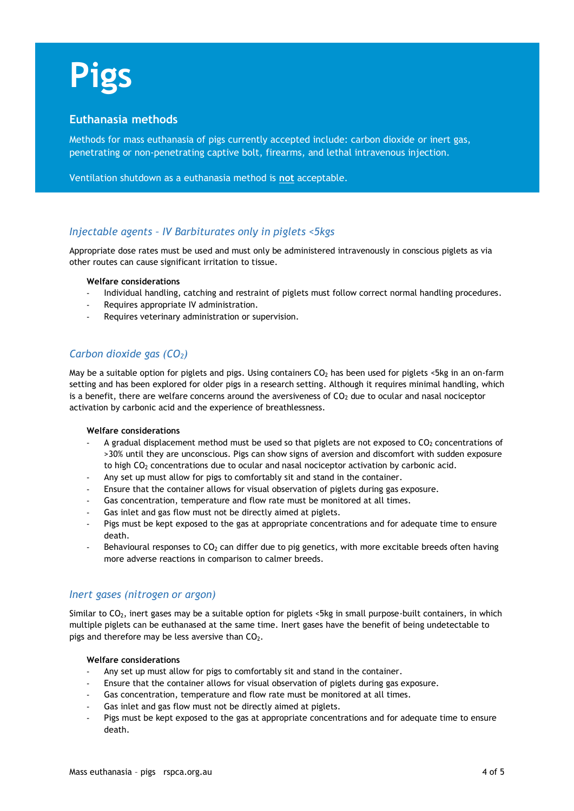# **Pigs**

# **Euthanasia methods**

Methods for mass euthanasia of pigs currently accepted include: carbon dioxide or inert gas, penetrating or non-penetrating captive bolt, firearms, and lethal intravenous injection.

Ventilation shutdown as a euthanasia method is **not** acceptable.

# *Injectable agents – IV Barbiturates only in piglets <5kgs*

Appropriate dose rates must be used and must only be administered intravenously in conscious piglets as via other routes can cause significant irritation to tissue.

#### **Welfare considerations**

- Individual handling, catching and restraint of piglets must follow correct normal handling procedures.
- Requires appropriate IV administration.
- Requires veterinary administration or supervision.

# *Carbon dioxide gas (CO2)*

May be a suitable option for piglets and pigs. Using containers CO<sub>2</sub> has been used for piglets <5kg in an on-farm setting and has been explored for older pigs in a research setting. Although it requires minimal handling, which is a benefit, there are welfare concerns around the aversiveness of  $CO<sub>2</sub>$  due to ocular and nasal nociceptor activation by carbonic acid and the experience of breathlessness.

#### **Welfare considerations**

- A gradual displacement method must be used so that piglets are not exposed to  $CO<sub>2</sub>$  concentrations of >30% until they are unconscious. Pigs can show signs of aversion and discomfort with sudden exposure to high CO<sub>2</sub> concentrations due to ocular and nasal nociceptor activation by carbonic acid.
- Any set up must allow for pigs to comfortably sit and stand in the container.
- Ensure that the container allows for visual observation of piglets during gas exposure.
- Gas concentration, temperature and flow rate must be monitored at all times.
- Gas inlet and gas flow must not be directly aimed at piglets.
- Pigs must be kept exposed to the gas at appropriate concentrations and for adequate time to ensure death.
- Behavioural responses to  $CO<sub>2</sub>$  can differ due to pig genetics, with more excitable breeds often having more adverse reactions in comparison to calmer breeds.

### *Inert gases (nitrogen or argon)*

Similar to CO<sub>2</sub>, inert gases may be a suitable option for piglets <5kg in small purpose-built containers, in which multiple piglets can be euthanased at the same time. Inert gases have the benefit of being undetectable to pigs and therefore may be less aversive than  $CO<sub>2</sub>$ .

#### **Welfare considerations**

- Any set up must allow for pigs to comfortably sit and stand in the container.
- Ensure that the container allows for visual observation of piglets during gas exposure.
- Gas concentration, temperature and flow rate must be monitored at all times.
- Gas inlet and gas flow must not be directly aimed at piglets.
- Pigs must be kept exposed to the gas at appropriate concentrations and for adequate time to ensure death.